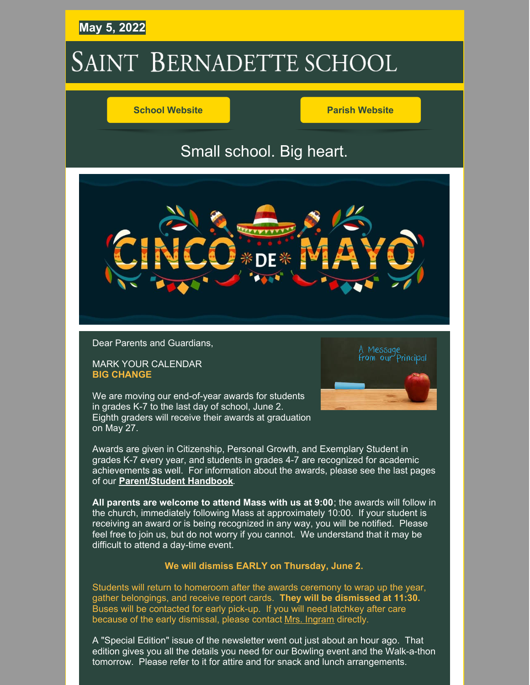## **May 5, 2022**

# SAINT BERNADETTE SCHOOL

#### **School [Website](https://stbameliaschool.org/) Parish [Website](https://stbameliaparish.org/)**

# Small school. Big heart.



Dear Parents and Guardians,

MARK YOUR CALENDAR **BIG CHANGE**

on May 27.

We are moving our end-of-year awards for students in grades K-7 to the last day of school, June 2. Eighth graders will receive their awards at graduation



Awards are given in Citizenship, Personal Growth, and Exemplary Student in grades K-7 every year, and students in grades 4-7 are recognized for academic achievements as well. For information about the awards, please see the last pages of our **[Parent/Student](https://files.constantcontact.com/9ac56f1f601/8d5a24ef-5bbd-42e5-ac9c-565402d649a0.pdf?rdr=true) Handbook**.

**All parents are welcome to attend Mass with us at 9:00**; the awards will follow in the church, immediately following Mass at approximately 10:00. If your student is receiving an award or is being recognized in any way, you will be notified. Please feel free to join us, but do not worry if you cannot. We understand that it may be difficult to attend a day-time event.

#### **We will dismiss EARLY on Thursday, June 2.**

Students will return to homeroom after the awards ceremony to wrap up the year, gather belongings, and receive report cards. **They will be dismissed at 11:30.** Buses will be contacted for early pick-up. If you will need latchkey after care because of the early dismissal, please contact Mrs. [Ingram](mailto:lingram@stbernadetteamelia.org) directly.

A "Special Edition" issue of the newsletter went out just about an hour ago. That edition gives you all the details you need for our Bowling event and the Walk-a-thon tomorrow. Please refer to it for attire and for snack and lunch arrangements.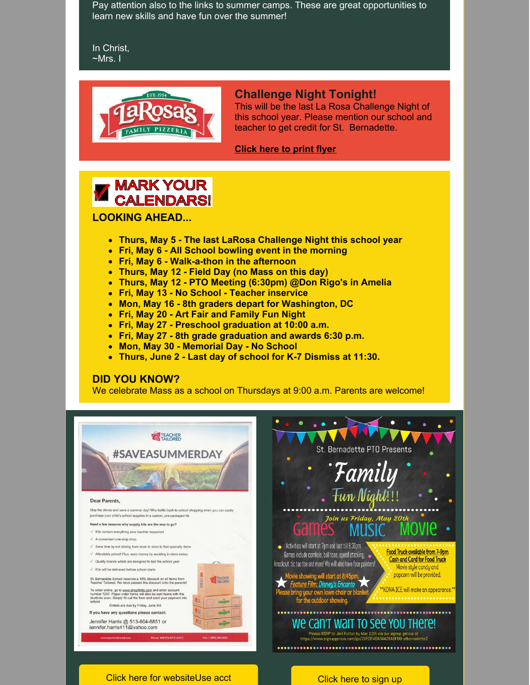Pay attention also to the links to summer camps. These are great opportunities to learn new skills and have fun over the summer!

In Christ, ~Mrs. I



#### **Challenge Night Tonight!**

This will be the last La Rosa Challenge Night of this school year. Please mention our school and teacher to get credit for St. Bernadette.

**[Click](https://files.constantcontact.com/9ac56f1f601/56909d9f-f874-4929-bba4-d230e120520a.pdf?rdr=true) here to print flyer**



**LOOKING AHEAD...**

- **Thurs, May 5 - The last LaRosa Challenge Night this school year**
- **Fri, May 6 - All School bowling event in the morning**
- **Fri, May 6 - Walk-a-thon in the afternoon**
- **Thurs, May 12 - Field Day (no Mass on this day)**
- **Thurs, May 12 - PTO Meeting (6:30pm) @Don Rigo's in Amelia**
- **Fri, May 13 - No School - Teacher inservice**
- **Mon, May 16 - 8th graders depart for Washington, DC**
- **Fri, May 20 - Art Fair and Family Fun Night**
- **Fri, May 27 - Preschool graduation at 10:00 a.m.**
- **Fri, May 27 - 8th grade graduation and awards 6:30 p.m.**
- **Mon, May 30 - Memorial Day - No School**
- **Thurs, June 2 - Last day of school for K-7 Dismiss at 11:30.**

#### **DID YOU KNOW?**

We celebrate Mass as a school on Thursdays at 9:00 a.m. Parents are welcome!

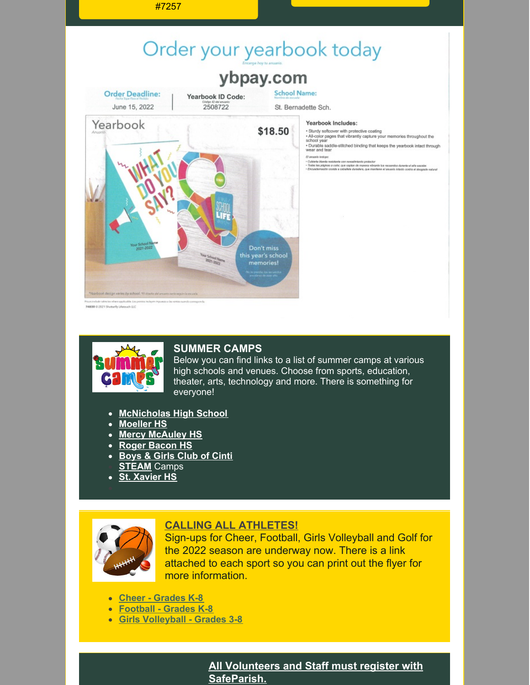

74830 0 2021 Shetterfly Lifetouch LLC



#### **SUMMER CAMPS**

Below you can find links to a list of summer camps at various high schools and venues. Choose from sports, education, theater, arts, technology and more. There is something for everyone!

- **[McNicholas](http://www.mcnhs.org/camps) High School**
- **[Moeller](https://moellercamps.campbrainregistration.com/) HS**
- **Mercy [McAuley](http://www.mercymcauley.org/camps) HS**
- **Roger [Bacon](https://www.rogerbacon.org/about/summer-camps) HS**
- **[Boys](http://bgcgc.org/memberships) & Girls Club of Cinti [STEAM](https://www.classroomantics.com/)** Camps
- **St. [Xavier](https://www.stxavier.org/academics/summer-camps) HS**



### **CALLING ALL ATHLETES!**

Sign-ups for Cheer, Football, Girls Volleyball and Golf for the 2022 season are underway now. There is a link attached to each sport so you can print out the flyer for more information.

- **Cheer - [Grades](https://files.constantcontact.com/9ac56f1f601/fd17f90d-8907-44fc-9f72-d855a1edeeb1.pdf?rdr=true) K-8**
- **[Football](https://files.constantcontact.com/9ac56f1f601/8c3bf350-d7e5-4eae-9e37-8d07fe6bf46c.pdf?rdr=true) - Grades K-8**
- **Girls [Volleyball](https://files.constantcontact.com/9ac56f1f601/14095ccb-05a4-443a-8fd2-e9f275335f91.pdf?rdr=true) - Grades 3-8**

**All Volunteers and Staff must register with SafeParish.**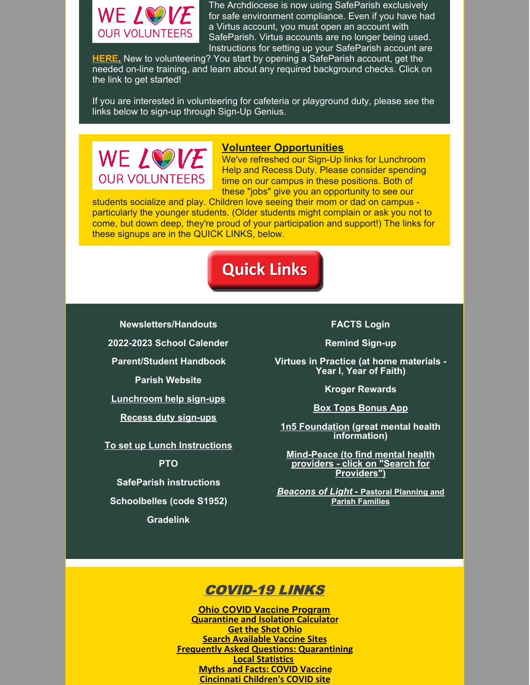

The Archdiocese is now using SafeParish exclusively for safe environment compliance. Even if you have had a Virtus account, you must open an account with SafeParish. Virtus accounts are no longer being used. Instructions for setting up your SafeParish account are

**[HERE.](https://www.stbameliaparish.org/safeparish)** New to volunteering? You start by opening a SafeParish account, get the needed on-line training, and learn about any required background checks. Click on the link to get started!

If you are interested in volunteering for cafeteria or playground duty, please see the links below to sign-up through Sign-Up Genius.



#### **Volunteer Opportunities**

We've refreshed our Sign-Up links for Lunchroom Help and Recess Duty. Please consider spending time on our campus in these positions. Both of these "jobs" give you an opportunity to see our

students socialize and play. Children love seeing their mom or dad on campus particularly the younger students. (Older students might complain or ask you not to come, but down deep, they're proud of your participation and support!) The links for these signups are in the QUICK LINKS, below.

# **Quick Links**

**[Newsletters/Handouts](http://stbameliaschool.org/About-Us/Principals-Notes-and-Handouts)**

**[2022-2023](https://files.constantcontact.com/9ac56f1f601/b73785f0-2cde-45fc-800c-5b13d533f097.pdf?rdr=true) School Calender**

**[Parent/Student](https://files.constantcontact.com/9ac56f1f601/8d5a24ef-5bbd-42e5-ac9c-565402d649a0.pdf?rdr=true) Handbook**

**Parish [Website](http://stbameliaparish.org/)**

**[Lunchroom](https://www.signupgenius.com/go/20F0F4DA9AA28ABFD0-lunchroom1) help sign-ups**

**Recess duty [sign-ups](https://www.signupgenius.com/go/20f0f4da9aa28abfd0-recess)**

**To set up Lunch [Instructions](https://files.constantcontact.com/9ac56f1f601/7f0bdd59-916d-4528-9ead-8e9a3ccdad05.pdf?rdr=true)**

**[PTO](http://stbameliaschool.org/Parents/PTO)**

**SafeParish [instructions](https://www.stbameliaparish.org/safeparish)**

**[Schoolbelles](http://www.schoolbelles.com/storelocations) (code S1952)**

**[Gradelink](https://secure.gradelink.com/gradelink)**

**[FACTS](https://online.factsmgt.com/signin/3XC6B) Login**

**[Remind](https://www.remind.com/join/stbsabers) Sign-up**

**Virtues in Practice (at home [materials](https://www.nashvilledominican.org/wp-content/uploads/PARENT-Guide-VIP-1.pdf) - Year I, Year of Faith)**

**Kroger [Rewards](https://files.constantcontact.com/9ac56f1f601/fbac224c-c902-48f8-93e9-043c6214ce43.pdf?rdr=true)**

**Box Tops [Bonus](https://www.boxtops4education.com/) App**

**1n5 [Foundation](https://1n5.org/learn-about-mental-health) (great mental health information)**

**[Mind-Peace](https://mindpeacecincinnati.com/) (to find mental health providers - click on "Search for Providers")**

*[Beacons](https://catholicaoc.org/beacons-of-light) of Light* **[-](https://catholicaoc.org/beacons-of-light) Pastoral [Planning](https://catholicaoc.org/beacons-of-light) and Parish Families**

# COVID-19 LINKS

**Ohio COVID Vaccine [Program](https://coronavirus.ohio.gov/wps/portal/gov/covid-19/covid-19-vaccination-program) [Quarantine](https://doh.sd.gov/COVID/Calculator/default.aspx) and Isolation Calculator Get the Shot [Ohio](https://gettheshot.coronavirus.ohio.gov/) Search [Available](https://www.solvhealth.com/oh/c/batavia-oh-srv-covid-testing) Vaccine Sites Frequently Asked Questions: [Quarantining](https://coronavirus.ohio.gov/static/docs/COVID-19-Quarantine-FAQs.pdf) Local [Statistics](https://www.nytimes.com/interactive/2021/us/clermont-ohio-covid-cases.html) Myths and Facts: COVID [Vaccine](https://www.cdc.gov/coronavirus/2019-ncov/vaccines/facts.html) [Cincinnati](https://www.cincinnatichildrens.org/patients/coronavirus-information/vaccines/schedule) Children's COVID site**